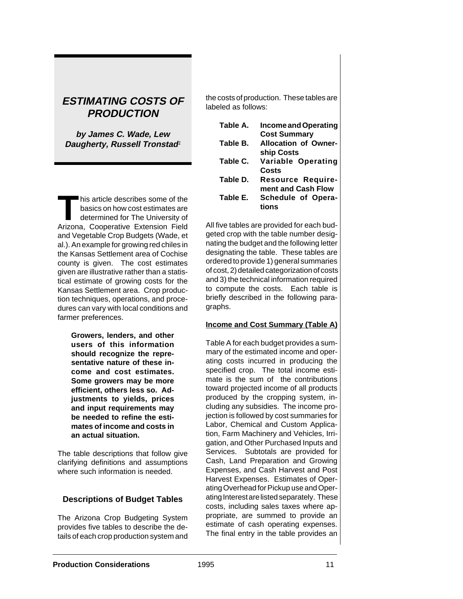# **ESTIMATING COSTS OF PRODUCTION**

**by James C. Wade, Lew Daugherty, Russell Tronstad**<sup>1</sup>

This article describes some of the<br>basics on how cost estimates are<br>determined for The University of basics on how cost estimates are determined for The University of Arizona, Cooperative Extension Field and Vegetable Crop Budgets (Wade, et al.). An example for growing red chiles in the Kansas Settlement area of Cochise county is given. The cost estimates given are illustrative rather than a statistical estimate of growing costs for the Kansas Settlement area. Crop production techniques, operations, and procedures can vary with local conditions and farmer preferences.

> **Growers, lenders, and other users of this information should recognize the representative nature of these income and cost estimates. Some growers may be more efficient, others less so. Adjustments to yields, prices and input requirements may be needed to refine the estimates of income and costs in an actual situation.**

The table descriptions that follow give clarifying definitions and assumptions where such information is needed.

## **Descriptions of Budget Tables**

The Arizona Crop Budgeting System provides five tables to describe the details of each crop production system and the costs of production. These tables are labeled as follows:

| Table A. | Income and Operating        |
|----------|-----------------------------|
|          | <b>Cost Summary</b>         |
| Table B. | <b>Allocation of Owner-</b> |
|          | ship Costs                  |
| Table C. | Variable Operating          |
|          | Costs                       |
| Table D. | <b>Resource Require-</b>    |
|          | ment and Cash Flow          |
| Table E. | Schedule of Opera-          |
|          | tions                       |

All five tables are provided for each budgeted crop with the table number designating the budget and the following letter designating the table. These tables are ordered to provide 1) general summaries of cost, 2) detailed categorization of costs and 3) the technical information required to compute the costs. Each table is briefly described in the following paragraphs.

## **Income and Cost Summary (Table A)**

Table A for each budget provides a summary of the estimated income and operating costs incurred in producing the specified crop. The total income estimate is the sum of the contributions toward projected income of all products produced by the cropping system, including any subsidies. The income projection is followed by cost summaries for Labor, Chemical and Custom Application, Farm Machinery and Vehicles, Irrigation, and Other Purchased Inputs and Services. Subtotals are provided for Cash, Land Preparation and Growing Expenses, and Cash Harvest and Post Harvest Expenses. Estimates of Operating Overhead for Pickup use and Operating Interest are listed separately. These costs, including sales taxes where appropriate, are summed to provide an estimate of cash operating expenses. The final entry in the table provides an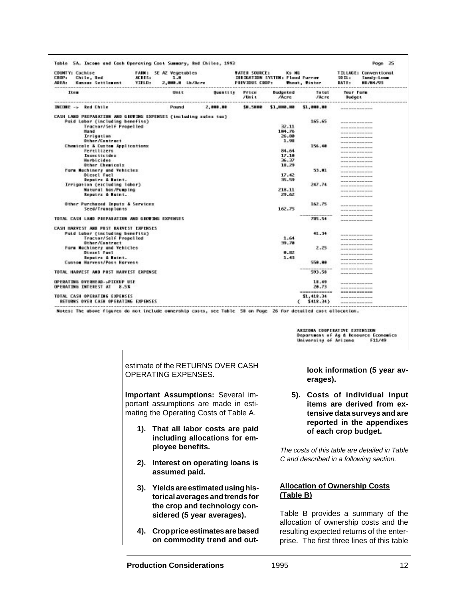| <b>COUNTY: Cochise</b><br><b>CROP:</b><br>Chile, Red<br>Konsus Settlement<br><b>AREA:</b><br><b>BOOK BOOK ON</b><br>because the beat and the decision and section the method and section | ACRES:<br><b>TIFLD:</b> | <b>FAMI: SE AZ Vegetables</b><br>1.8<br>2.000.0 Lb/Acre |                 | <b>WATER SOURCE!</b><br>PREVIOUS CROP: | Ks NE<br><b>IREIGATION SYSTEM: Flood Furrow</b> | <b>Mout, Tinter</b>                                                                                            | <b>TILLAGE: Conventional</b><br>$50 \text{ H}$ :<br>Sandy-Loan<br>01/04/93<br>DAT E: |  |
|------------------------------------------------------------------------------------------------------------------------------------------------------------------------------------------|-------------------------|---------------------------------------------------------|-----------------|----------------------------------------|-------------------------------------------------|----------------------------------------------------------------------------------------------------------------|--------------------------------------------------------------------------------------|--|
| Item                                                                                                                                                                                     |                         | Unit                                                    | <b>Quantity</b> | Price<br>70mi +                        | <b>Budgeted</b><br><b>INCRE</b>                 | Total<br><b>JACre</b>                                                                                          | Your Form<br>Budget                                                                  |  |
| <b>INCORE -&gt; Red Chile</b>                                                                                                                                                            |                         | Pound                                                   | 2,000.00        | 58.5880                                | \$1,000.00                                      | <b>\$1,000.00</b>                                                                                              | provide personal excitation being                                                    |  |
| CASH LAND PREPARATION AND GROTING EXPENSES (including xolex tox)                                                                                                                         |                         |                                                         |                 |                                        |                                                 |                                                                                                                |                                                                                      |  |
| Paid Labor (including benefits)                                                                                                                                                          |                         |                                                         |                 |                                        |                                                 | 165.65                                                                                                         | ------------                                                                         |  |
| Tractor/Self Propelled                                                                                                                                                                   |                         |                                                         |                 |                                        | 32.11                                           |                                                                                                                |                                                                                      |  |
| Hund                                                                                                                                                                                     |                         |                                                         |                 |                                        | 184.76                                          |                                                                                                                | to the oil countries about the country                                               |  |
| Irrigation                                                                                                                                                                               |                         |                                                         |                 |                                        | 26.88                                           |                                                                                                                | provided the primary advertising from the                                            |  |
| @ther/Contract                                                                                                                                                                           |                         |                                                         |                 |                                        | 1.98                                            |                                                                                                                | <b>CONTRACTOR CONTRACTOR</b>                                                         |  |
| Chamicals & Custom Applications                                                                                                                                                          |                         |                                                         |                 |                                        |                                                 | 156.48                                                                                                         | <b>Service contract decision between</b>                                             |  |
| Fereilizero                                                                                                                                                                              |                         |                                                         |                 |                                        | 84.64                                           |                                                                                                                |                                                                                      |  |
| Insecticides                                                                                                                                                                             |                         |                                                         |                 |                                        | 17.18                                           |                                                                                                                | because permissi permissi dan permis                                                 |  |
| <b>Merbicides</b>                                                                                                                                                                        |                         |                                                         |                 |                                        | 36.37                                           |                                                                                                                |                                                                                      |  |
| Other Chemicals                                                                                                                                                                          |                         |                                                         |                 |                                        | 18.29                                           |                                                                                                                |                                                                                      |  |
| Form Mochinery and Vehicles                                                                                                                                                              |                         |                                                         |                 |                                        |                                                 | 53.HL                                                                                                          | <b>Service for the contract contract for the co</b>                                  |  |
| <b>Biesel Fuel</b>                                                                                                                                                                       |                         |                                                         |                 |                                        | 17.42                                           |                                                                                                                | <b>March 20 Section Contract Inches</b>                                              |  |
| Expotrs & Maint.                                                                                                                                                                         |                         |                                                         |                 |                                        | 35.59                                           |                                                                                                                |                                                                                      |  |
| Irrigation (cacluding isbor)                                                                                                                                                             |                         |                                                         |                 |                                        |                                                 | 247.74                                                                                                         | the low year and with the state and with the state                                   |  |
| Natural Gos/Pumping                                                                                                                                                                      |                         |                                                         |                 |                                        | 218.11                                          |                                                                                                                | permanent commercial statistics continued                                            |  |
| Expetra & Maint.                                                                                                                                                                         |                         |                                                         |                 |                                        | 29.62                                           |                                                                                                                | provided the private stationary from                                                 |  |
| Other Purchozed Inputs & Services                                                                                                                                                        |                         |                                                         |                 |                                        |                                                 | 162.75                                                                                                         |                                                                                      |  |
| Seed/Transplants                                                                                                                                                                         |                         |                                                         |                 |                                        | 162.75                                          |                                                                                                                | ---------------                                                                      |  |
| TOTAL CASH LAND PREPARATION AND GROUDDE EXPENSES                                                                                                                                         |                         |                                                         |                 |                                        |                                                 | 785.54                                                                                                         | <b>In this of the street and processes are the</b>                                   |  |
|                                                                                                                                                                                          |                         |                                                         |                 |                                        |                                                 |                                                                                                                | <b>MONEY PERMIT AND RESIDENT</b>                                                     |  |
| CASH HARVEST AND POST HARVEST EXPENSES                                                                                                                                                   |                         |                                                         |                 |                                        |                                                 |                                                                                                                |                                                                                      |  |
| Poid Lobor (including benefitz)                                                                                                                                                          |                         |                                                         |                 |                                        |                                                 | 41.34                                                                                                          |                                                                                      |  |
| Tractor/Self Propelled                                                                                                                                                                   |                         |                                                         |                 |                                        | 1.64                                            |                                                                                                                |                                                                                      |  |
| @ther/Contract                                                                                                                                                                           |                         |                                                         |                 |                                        | 39.78                                           |                                                                                                                | to think because showing an ani                                                      |  |
| Form Nochinery and Vehicles                                                                                                                                                              |                         |                                                         |                 |                                        |                                                 | 2.25                                                                                                           | provided the price and provided the form                                             |  |
| Diesel Fuel                                                                                                                                                                              |                         |                                                         |                 |                                        | 0.112                                           |                                                                                                                | <b>CONTRACTOR CONTRACTOR CONTRACTOR</b>                                              |  |
| Expoirs & Maint.                                                                                                                                                                         |                         |                                                         |                 |                                        | 1.43                                            |                                                                                                                | proposed the private absolute the second                                             |  |
| Custom Harvest/Post Harvest                                                                                                                                                              |                         |                                                         |                 |                                        |                                                 | 558.88                                                                                                         | _________                                                                            |  |
| TOTAL HARVEST AND POST HARVEST EXPENSE                                                                                                                                                   |                         |                                                         |                 |                                        |                                                 | 593.58                                                                                                         | between personal excitation because                                                  |  |
|                                                                                                                                                                                          |                         |                                                         |                 |                                        |                                                 |                                                                                                                |                                                                                      |  |
| UP ERATING OVERIEAS-SPIEKUP USE                                                                                                                                                          |                         |                                                         |                 |                                        |                                                 | 11.49                                                                                                          | <b>Service Services encourage between</b>                                            |  |
| OPERATING INTEREST AT<br>8.5%                                                                                                                                                            |                         |                                                         |                 |                                        |                                                 | 28.73                                                                                                          | be as the company's personal company's                                               |  |
|                                                                                                                                                                                          |                         |                                                         |                 |                                        |                                                 | ------------                                                                                                   | <b><i>MAIN MAN WAY MAIN</i></b>                                                      |  |
| TOTAL CASH OPERATING EXPENSES                                                                                                                                                            |                         |                                                         |                 |                                        |                                                 | \$1,418.34                                                                                                     | <b>Service Services describe la lanc</b>                                             |  |
| <b>RETURNS OVER CASH OPERATING EXPENSES</b>                                                                                                                                              |                         |                                                         |                 |                                        |                                                 | \$418.34)                                                                                                      |                                                                                      |  |
|                                                                                                                                                                                          |                         |                                                         |                 |                                        |                                                 | Notes: The above figures do not include ownership costs, see Table 58 on Page 26 for detailed cost allocation. |                                                                                      |  |

ARIZONA COOPERATIVE EXTENSION Department of Ag & Resource Economics<br>University of Arizona F11/49

estimate of the RETURNS OVER CASH OPERATING EXPENSES.

**Important Assumptions:** Several important assumptions are made in estimating the Operating Costs of Table A.

- **1). That all labor costs are paid including allocations for employee benefits.**
- **2). Interest on operating loans is assumed paid.**
- **3). Yields are estimated using historical averages and trends for the crop and technology considered (5 year averages).**
- **4). Crop price estimates are based on commodity trend and out-**

**look information (5 year averages).**

**5). Costs of individual input items are derived from extensive data surveys and are reported in the appendixes of each crop budget.**

The costs of this table are detailed in Table C and described in a following section.

### **Allocation of Ownership Costs (Table B)**

Table B provides a summary of the allocation of ownership costs and the resulting expected returns of the enterprise. The first three lines of this table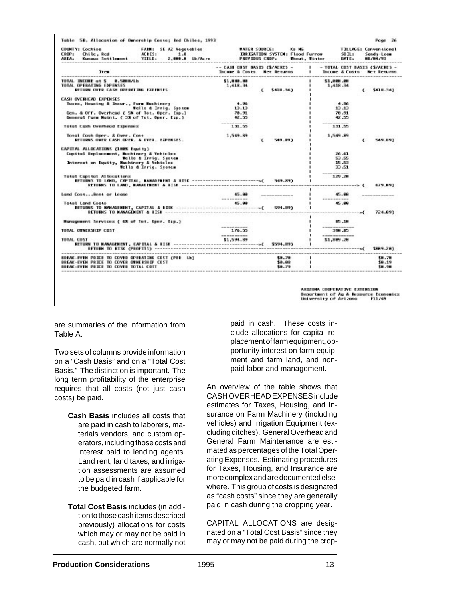| <b>COUNTY: Cochise</b><br><b>FARM: SE AZ Vegetables</b><br>CROP: Chile, Red<br>ACRESI 1.8<br>AREA: Kunsus-Settlement YIELD:                                                                                             | <b>WATER SOURCE!</b>                                         |   |                  | Ko MG<br><b>IRRIGATION SYSTEM: Flood Furrow</b><br>2,000.0 Lb/Acro PREVIOUS CROP: Theat, Tinter DATE: | <b>SO TU 1</b> | <b>TILLAGE: Conventional</b><br>Sandy-Lose<br><b>HE/B4/93</b> |
|-------------------------------------------------------------------------------------------------------------------------------------------------------------------------------------------------------------------------|--------------------------------------------------------------|---|------------------|-------------------------------------------------------------------------------------------------------|----------------|---------------------------------------------------------------|
| <b>Term</b>                                                                                                                                                                                                             | -- CASH COST BASIS (\$/ACRE) -<br>Income & Costs Het Returns |   |                  | 1 - TOTAL COST BASES (\$/ACRE) -<br>I Income & Costs Net Returns                                      |                |                                                               |
| TOTAL INCOME at \$ 0.5000/Lb<br>TOTAL OPERATING EXPENSES.<br>RETURN OVER CASE OPERATING EXPENSES                                                                                                                        | \$1,000.00<br>1,418.34                                       | c | \$418,343        | \$1,000.00<br>1,418.34                                                                                | c              | \$418.343                                                     |
| <b>CASH #VERHEAD EXPENSES</b><br>Tuzex, Housing & Insur., Form Machinery<br>Wells & Irrig. System<br>Gen. & Off. Overhead ( S% of Tot. Oper. Exp.)<br>General Form Maint. ( 3% of Tot. Oper. Esp.)                      | 4.96<br>13.13<br>78.91<br>42.55                              |   |                  | $-4.76$<br>13.13<br>78.91<br>42.55                                                                    |                |                                                               |
| Total Cash Drechead Expenses                                                                                                                                                                                            | 131.55                                                       |   |                  | 131.55                                                                                                |                |                                                               |
| RETURNS OVER CASH OPER. & UVER. EXPENSES.                                                                                                                                                                               | 1,549.89                                                     | c | 549,893          | 1,549.89                                                                                              | c              | 549.893                                                       |
| <b>CAPITAL ALLOCATIONS (198% Equity)</b><br>Capital Replacement, Machinery & Vehicles<br>Tells & Irrig. System<br>Interest on Equity, Machinery & Vehicles<br>Wells & Irrig. System<br><b>Total Capital Allocations</b> |                                                              |   |                  | 26.41<br>\$3.55<br>15.53<br>33.51<br>-------<br>129, 20                                               |                | 679.893                                                       |
| Land CostRent or Lease                                                                                                                                                                                                  | 45.88<br>-----------                                         |   |                  | 45.88<br>when we can show to send                                                                     |                |                                                               |
| <b>Total Land Costs</b>                                                                                                                                                                                                 | 45.88                                                        |   |                  | 45.88                                                                                                 |                | 724.893                                                       |
| Monogement Services ( 6% of Tot. Oper. Exp.)                                                                                                                                                                            |                                                              |   |                  | 15.18                                                                                                 |                |                                                               |
| TOTAL OTNERSHIP COST                                                                                                                                                                                                    | 176.55<br>----------                                         |   |                  | 390.05<br>------------                                                                                |                |                                                               |
| TOTAL COST.                                                                                                                                                                                                             |                                                              |   |                  | \$1,889.28<br>$\mathbf{I}$                                                                            |                | \$889.28)                                                     |
| <b>SEEAK-EVEN PRICE TO COVER OPERATING COST CPER LNS</b><br>BREAK-EVEN PRICE TO COVER OUNERSHIP COST<br>BREAK-EVEN PRICE TO COVER TOTAL COST                                                                            |                                                              |   | \$8.78<br>\$8.88 |                                                                                                       |                | 58.78<br>\$8.19<br>58.98                                      |

are summaries of the information from Table A.

Two sets of columns provide information on a "Cash Basis" and on a "Total Cost Basis." The distinction is important. The long term profitability of the enterprise requires that all costs (not just cash costs) be paid.

> **Cash Basis** includes all costs that are paid in cash to laborers, materials vendors, and custom operators, including those costs and interest paid to lending agents. Land rent, land taxes, and irrigation assessments are assumed to be paid in cash if applicable for the budgeted farm.

> **Total Cost Basis** includes (in addition to those cash items described previously) allocations for costs which may or may not be paid in cash, but which are normally not

paid in cash. These costs include allocations for capital replacement of farm equipment, opportunity interest on farm equipment and farm land, and nonpaid labor and management.

An overview of the table shows that CASH OVERHEAD EXPENSES include estimates for Taxes, Housing, and Insurance on Farm Machinery (including vehicles) and Irrigation Equipment (excluding ditches). General Overhead and General Farm Maintenance are estimated as percentages of the Total Operating Expenses. Estimating procedures for Taxes, Housing, and Insurance are more complex and are documented elsewhere. This group of costs is designated as "cash costs" since they are generally paid in cash during the cropping year.

CAPITAL ALLOCATIONS are designated on a "Total Cost Basis" since they may or may not be paid during the crop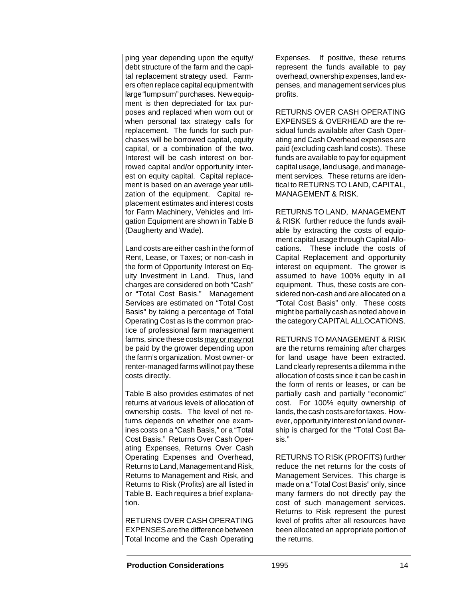ping year depending upon the equity/ debt structure of the farm and the capital replacement strategy used. Farmers often replace capital equipment with large "lump sum" purchases. New equipment is then depreciated for tax purposes and replaced when worn out or when personal tax strategy calls for replacement. The funds for such purchases will be borrowed capital, equity capital, or a combination of the two. Interest will be cash interest on borrowed capital and/or opportunity interest on equity capital. Capital replacement is based on an average year utilization of the equipment. Capital replacement estimates and interest costs for Farm Machinery, Vehicles and Irrigation Equipment are shown in Table B (Daugherty and Wade).

Land costs are either cash in the form of Rent, Lease, or Taxes; or non-cash in the form of Opportunity Interest on Equity Investment in Land. Thus, land charges are considered on both "Cash" or "Total Cost Basis." Management Services are estimated on "Total Cost Basis" by taking a percentage of Total Operating Cost as is the common practice of professional farm management farms, since these costs may or may not be paid by the grower depending upon the farm's organization. Most owner- or renter-managed farms will not pay these costs directly.

Table B also provides estimates of net returns at various levels of allocation of ownership costs. The level of net returns depends on whether one examines costs on a "Cash Basis," or a "Total Cost Basis." Returns Over Cash Operating Expenses, Returns Over Cash Operating Expenses and Overhead, Returns to Land, Management and Risk, Returns to Management and Risk, and Returns to Risk (Profits) are all listed in Table B. Each requires a brief explanation.

RETURNS OVER CASH OPERATING EXPENSES are the difference between Total Income and the Cash Operating

Expenses. If positive, these returns represent the funds available to pay overhead, ownership expenses, land expenses, and management services plus profits.

RETURNS OVER CASH OPERATING EXPENSES & OVERHEAD are the residual funds available after Cash Operating and Cash Overhead expenses are paid (excluding cash land costs). These funds are available to pay for equipment capital usage, land usage, and management services. These returns are identical to RETURNS TO LAND, CAPITAL, MANAGEMENT & RISK.

RETURNS TO LAND, MANAGEMENT & RISK further reduce the funds available by extracting the costs of equipment capital usage through Capital Allocations. These include the costs of Capital Replacement and opportunity interest on equipment. The grower is assumed to have 100% equity in all equipment. Thus, these costs are considered non-cash and are allocated on a "Total Cost Basis" only. These costs might be partially cash as noted above in the category CAPITAL ALLOCATIONS.

RETURNS TO MANAGEMENT & RISK are the returns remaining after charges for land usage have been extracted. Land clearly represents a dilemma in the allocation of costs since it can be cash in the form of rents or leases, or can be partially cash and partially "economic" cost. For 100% equity ownership of lands, the cash costs are for taxes. However, opportunity interest on land ownership is charged for the "Total Cost Basis."

RETURNS TO RISK (PROFITS) further reduce the net returns for the costs of Management Services. This charge is made on a "Total Cost Basis" only, since many farmers do not directly pay the cost of such management services. Returns to Risk represent the purest level of profits after all resources have been allocated an appropriate portion of the returns.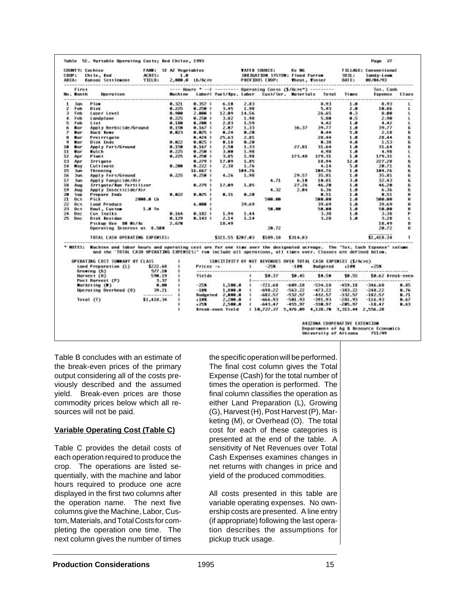| <b>AREAL</b> | <b>CROP:</b>       | <b>COUNTY: Cochtee</b><br>Chile, Red<br>Kansas Settlement YIELD:                                                                                                                                                                                                                              | ACRES:            | <b>FARM: SE AZ Vegetables</b><br>1.8 |                | 2,000.0 Lb/Acre PREVIOUS CROP:                                             |        | <b>TATER SQUEER:</b><br>IRRIGATION SYSTEM: Flood Furrow                                                                       | Kx NG     | Theat, Timter | $50$ H <sub><math>&gt;</math></sub><br><b>IMTEL</b> | TILLAGE: Conventional<br>Sandy-Logs<br>88/84/93 |      |
|--------------|--------------------|-----------------------------------------------------------------------------------------------------------------------------------------------------------------------------------------------------------------------------------------------------------------------------------------------|-------------------|--------------------------------------|----------------|----------------------------------------------------------------------------|--------|-------------------------------------------------------------------------------------------------------------------------------|-----------|---------------|-----------------------------------------------------|-------------------------------------------------|------|
|              | First<br>No. Month | <b>Doeretion</b>                                                                                                                                                                                                                                                                              |                   |                                      |                |                                                                            |        | ---- Hours *----------- Operating Costs (S/Acre*) ---------<br>Machine Labor! fuel/Rps. Labor Cust/Ser. Materials Tatal Times |           |               |                                                     | Tot, Caoh<br>Expense Elexx                      |      |
| 1.           | Jan                | Plew                                                                                                                                                                                                                                                                                          |                   | 8.321                                | 0.357.1        | 6.18                                                                       | 2.83   |                                                                                                                               |           | 8.93          | 1.8                                                 | 8.93                                            | ı    |
| z.           | Feb.               | Disk                                                                                                                                                                                                                                                                                          |                   | 0.225                                | 0.258          | 3.45                                                                       | 1.98   |                                                                                                                               |           | 5.43          | 2.8                                                 | 19.86                                           | ı    |
| э            | Feb                | Loser Level                                                                                                                                                                                                                                                                                   |                   | 8.988                                | 2,888 1        | 12.89                                                                      | 14.56  |                                                                                                                               |           | 26.65         | €.8                                                 | 8.88                                            | ι    |
|              | 4 Feb              | Landplane                                                                                                                                                                                                                                                                                     |                   | 0.225                                | 8.2581         | 3.82                                                                       | 1.98   |                                                                                                                               |           | 5.88          | 8.5                                                 | 2.98                                            | ι    |
| 5            | Feb                | 11x                                                                                                                                                                                                                                                                                           |                   | 8.15M                                | 0.200          | 2.83                                                                       | 1.59   |                                                                                                                               |           | 4.42          | 1.8                                                 | 4.42                                            | ı    |
| 6.           | Mar                | Apply Herbicide/Ground                                                                                                                                                                                                                                                                        |                   | 0.158                                | $0.167$ 1      | 2.87                                                                       | 1.33   |                                                                                                                               | 36.37     | 39.77         | 1.8                                                 | 39.77                                           | 6    |
| т.           | <b>Mar</b>         | Suck knex                                                                                                                                                                                                                                                                                     |                   | 0.823                                | 0.825          | 8.24                                                                       | 0.20   |                                                                                                                               |           | 8.44          | 5.8                                                 | 2.18                                            | ü    |
| н.           | Nur                | Preirrigate                                                                                                                                                                                                                                                                                   |                   |                                      | 0.424.1        | 25.63                                                                      | 2.11   |                                                                                                                               |           | 28.44         | 1.0                                                 | 28.44                                           | ü    |
| ٠            | Nar                | Disk Ends                                                                                                                                                                                                                                                                                     |                   | 0.022                                | 0.0251         | 8.18                                                                       | 8.28   |                                                                                                                               |           | 8.38          | 4.8                                                 | 1.53                                            | 6    |
| 18.          | Nur                | Apply Fort/Ground                                                                                                                                                                                                                                                                             |                   | 0.158                                | $0.167$        | 2.58                                                                       | 1.33   |                                                                                                                               | 27.81     | 31.64         | 1.8                                                 | 31.44                                           | a    |
| 11           | Mar                | Mulch                                                                                                                                                                                                                                                                                         |                   | 0.225                                | 0.258 1        | 3.88                                                                       | 1.98   |                                                                                                                               |           | 4.98          | 1.8                                                 | 4.98                                            | ι    |
| 12           | Apr                | Plant                                                                                                                                                                                                                                                                                         |                   | 8.725                                | 0.258          | 3.85                                                                       | 1.98   |                                                                                                                               | 173.48    | 179.31        | 1.8                                                 | 179.31                                          | ı    |
| 13           | Apr                | Irrigate                                                                                                                                                                                                                                                                                      |                   |                                      | $0.279$ 1      | 17.89                                                                      | 1.85   |                                                                                                                               |           | 18.94         | 12.0                                                | 227.28                                          | ū    |
| 14           | May                | Cultivate                                                                                                                                                                                                                                                                                     |                   | 0.200                                | $8.222$ 1      | 2.38                                                                       | 1.76   |                                                                                                                               |           | 4.14          | 5.8                                                 | 28.71                                           | 6    |
| 15           | <b>Jun</b>         | <b>Thinning</b>                                                                                                                                                                                                                                                                               |                   |                                      | 16.667         |                                                                            | 184.76 |                                                                                                                               |           | 184.76        | 1.0                                                 | 184.76                                          | ū    |
| 16           | <b>Jun</b>         | Apply Fert/Ground                                                                                                                                                                                                                                                                             |                   | 0.225                                | 0.2501         | 4,26                                                                       | 1.98   |                                                                                                                               | 29.57     | 35.81         | 1.8                                                 | 35.81                                           | 6    |
| 17           | <b>Jun</b>         | Apply Fungicide/Air                                                                                                                                                                                                                                                                           |                   |                                      |                |                                                                            |        | 4.71                                                                                                                          | 6.18      | 19.81         | 3.8                                                 | 32.43                                           | 6    |
| 18           | Aug                | Irrigote/Run Pertilizer                                                                                                                                                                                                                                                                       |                   |                                      | 0.279          | 17.89                                                                      | 1.15   |                                                                                                                               | 27.26     | 46.28         | 1.0                                                 | 44.20                                           | ū    |
| 19           | Aug                | Apply Insecticide/Air                                                                                                                                                                                                                                                                         |                   |                                      |                |                                                                            |        | 4.32                                                                                                                          | 2.84      | 6.36          | 1.8                                                 | 6.36                                            | 6    |
| 28           | <b>SHD</b>         | Prepare Ends                                                                                                                                                                                                                                                                                  |                   | <b>8.822</b>                         | <b>0.825 F</b> | 8.31                                                                       | 8.28   |                                                                                                                               |           | 8.51          | 1.0                                                 | 0.51                                            | H    |
| 21           | <b>OCE</b>         | Pick                                                                                                                                                                                                                                                                                          | 2888.8 Lb         |                                      |                |                                                                            |        | 588.88                                                                                                                        |           | 588.88        | 1.8                                                 | 500.00                                          | н    |
| 22           | <b>OCE</b>         | Load Produce                                                                                                                                                                                                                                                                                  |                   |                                      | 6,888 1        |                                                                            | 39.69  |                                                                                                                               |           | 39.69         | 1.0                                                 | 39.69                                           | н    |
| 23.          | <b>Det</b>         | Houl, Custom                                                                                                                                                                                                                                                                                  | 1.8 <sub>1n</sub> | 2.16.25                              |                |                                                                            |        | 58.00                                                                                                                         |           | 50.00         | 1.8                                                 | 58.88                                           | н    |
| 24           | 0ec                | Cut Stalks                                                                                                                                                                                                                                                                                    |                   | 8.164                                | 0.182.1        | 1.94                                                                       | 1.44   |                                                                                                                               |           | 3.38          | 1.8                                                 | 3.38                                            | Р    |
| 25           | Dec:               | Disk Residue                                                                                                                                                                                                                                                                                  |                   | 0.129                                | $0.143$        | 2.14                                                                       | 1.14   |                                                                                                                               |           | 3.28          | 1.8                                                 | 3.28                                            | ı    |
|              |                    |                                                                                                                                                                                                                                                                                               |                   | 2.678                                |                | 18.49                                                                      |        |                                                                                                                               |           | <b>NORTH</b>  |                                                     | 11.49                                           | o    |
|              |                    | Pickup Use IN Mi/Ac<br>Operating Interest at \$.50%                                                                                                                                                                                                                                           |                   |                                      |                |                                                                            |        | 28.72                                                                                                                         |           |               |                                                     | 28.72                                           | ũ    |
|              |                    | TOTAL CASH OPERATING EXPENSES!                                                                                                                                                                                                                                                                |                   |                                      |                |                                                                            |        | \$321.55 \$207.03 \$589.18 \$314.83                                                                                           |           |               |                                                     | 11,418.34                                       |      |
|              |                    | * MOTES: Wachine and labor hours and operating cost are for one time over the designated acreage. The "Tot. Cash Expense" column<br>and the 'TOTAL CASH OPERATING EXPENSES:' row include all operations, all times over. Classes are defined below.<br><b>OPERATING COST SUMMARY BY CLASS</b> |                   |                                      |                |                                                                            |        | SENSITIVITY OF NET REVENUES OVER TOTAL CASH EXPENSES (\$7Acre)                                                                |           |               |                                                     |                                                 |      |
|              |                    | Land Preparation (L)                                                                                                                                                                                                                                                                          | \$222.68          |                                      | Prices -s      |                                                                            | ٠      | $-25k$                                                                                                                        | $-18$ K   | Budgeted      | $-1.07$                                             | $+251$                                          |      |
|              |                    | Groving (G)                                                                                                                                                                                                                                                                                   | 577.18            | ٠                                    |                | where the state of the contract that the state of the contract of the con- |        |                                                                                                                               |           |               |                                                     |                                                 |      |
|              |                    | Harvest (H)<br>Post Horvest (P)                                                                                                                                                                                                                                                               | 598.19<br>3.37    | ٠<br>٠                               | <b>Tields</b>  |                                                                            | ٠      | \$8.37 \$8.45                                                                                                                 |           | \$8.58        |                                                     | \$0.55 \$0.62 Break-even                        |      |
|              |                    | Marketing (N)                                                                                                                                                                                                                                                                                 | 0.00              | ٠                                    | $-25%$         | 1,500.0                                                                    | ٠      | $-721.68$                                                                                                                     | $-649.18$ | $-534,18$     | $-459.18$                                           | $-346.68$                                       | 8.85 |
|              |                    | Operating Overhead (0)                                                                                                                                                                                                                                                                        | 39.21             |                                      | $-18\pi$       | 1,880.8                                                                    | ٠      | $-698.22$                                                                                                                     | $-563.22$ | $-473.22$     | $-383.22$                                           | $-248.22$                                       | 8.76 |
|              |                    |                                                                                                                                                                                                                                                                                               |                   | <b><i><u><u>ALCO</u></u></i></b>     |                | Sudgeted 2,000.0                                                           | ٠      | $-682.57$                                                                                                                     | $-532.57$ | $-432.57$     | $-332.57$                                           | $-182.57$                                       | H.71 |
|              |                    | Total (T)                                                                                                                                                                                                                                                                                     | \$1,418.34        |                                      | $+10%$         | 2,200.0                                                                    | ٠      | $-666, 93$                                                                                                                    | $-501.93$ | $-391.93$     | $-281.93$                                           | $-116.93$                                       | 8.67 |
|              |                    |                                                                                                                                                                                                                                                                                               |                   | к                                    | $+258$         | 2,500.0                                                                    | т.     | $-643.47$                                                                                                                     | $-455.37$ | $-330.97$     | $-205.97$                                           | $-11.47$                                        | 8.63 |
|              |                    |                                                                                                                                                                                                                                                                                               |                   | ٠                                    |                | Break-even Yield                                                           |        | 18,727.27 5,476.09 4,120.70 3,313.44 2,556.20                                                                                 |           |               |                                                     |                                                 |      |
|              |                    |                                                                                                                                                                                                                                                                                               |                   |                                      |                |                                                                            |        |                                                                                                                               |           |               | ARIZONA COOPERATIVE EXTENSION                       | Department of Ag & Resource Economics           |      |

Table B concludes with an estimate of the break-even prices of the primary output considering all of the costs previously described and the assumed yield. Break-even prices are those commodity prices below which all resources will not be paid.

#### **Variable Operating Cost (Table C)**

Table C provides the detail costs of each operation required to produce the crop. The operations are listed sequentially, with the machine and labor hours required to produce one acre displayed in the first two columns after the operation name. The next five columns give the Machine, Labor, Custom, Materials, and Total Costs for completing the operation one time. The next column gives the number of times

the specific operation will be performed. The final cost column gives the Total Expense (Cash) for the total number of times the operation is performed. The final column classifies the operation as either Land Preparation (L), Growing (G), Harvest (H), Post Harvest (P), Marketing (M), or Overhead (O). The total cost for each of these categories is presented at the end of the table. A sensitivity of Net Revenues over Total Cash Expenses examines changes in net returns with changes in price and yield of the produced commodities.

All costs presented in this table are variable operating expenses. No ownership costs are presented. A line entry (if appropriate) following the last operation describes the assumptions for pickup truck usage.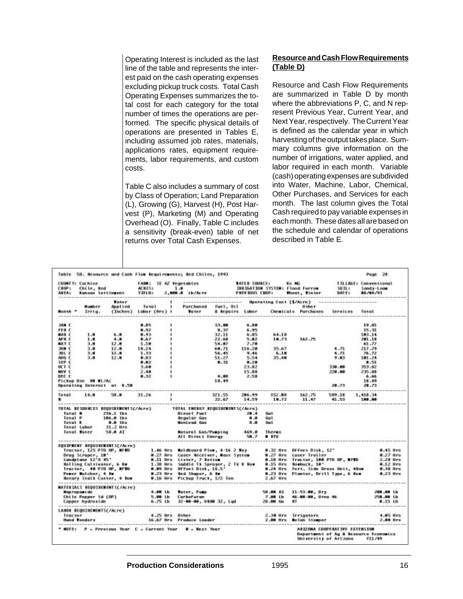Operating Interest is included as the last line of the table and represents the interest paid on the cash operating expenses excluding pickup truck costs. Total Cash Operating Expenses summarizes the total cost for each category for the total number of times the operations are performed. The specific physical details of operations are presented in Tables E, including assumed job rates, materials, applications rates, equipment requirements, labor requirements, and custom costs.

Table C also includes a summary of cost by Class of Operation; Land Preparation (L), Growing (G), Harvest (H), Post Harvest (P), Marketing (M) and Operating Overhead (O). Finally, Table C includes a sensitivity (break-even) table of net returns over Total Cash Expenses.

#### **Resource and Cash Flow Requirements (Table D)**

Resource and Cash Flow Requirements are summarized in Table D by month where the abbreviations P, C, and N represent Previous Year, Current Year, and Next Year, respectively. The Current Year is defined as the calendar year in which harvesting of the output takes place. Summary columns give information on the number of irrigations, water applied, and labor required in each month. Variable (cash) operating expenses are subdivided into Water, Machine, Labor, Chemical, Other Purchases, and Services for each month. The last column gives the Total Cash required to pay variable expenses in each month. These dates all are based on the schedule and calendar of operations described in Table E.

| <b>CROPT</b><br>AREA: | <b>COUNTTI Cochine</b><br>Ohile, ked | Konsos Settlement                                                                                                                                                                                                         | <b>ACRES:</b><br>YIELD:       | FARM! SE AZ Tegetables<br>1.8<br>2,000.0 Lb/Acro PREVIOUS CROP: Theat, Timtur |                             | <b>VATER SOURCE!</b> |                               | KO NG<br>VATER SOURCEI – Ko NG – – – TILLAGEI<br>IRRIGATION SYSTEM∣Flood Furrow – – SOILI | <b>DATE:</b>                                                           | <b>TILLAGE: Conventional</b><br>Sandy-Logs<br>011104793 |                              |
|-----------------------|--------------------------------------|---------------------------------------------------------------------------------------------------------------------------------------------------------------------------------------------------------------------------|-------------------------------|-------------------------------------------------------------------------------|-----------------------------|----------------------|-------------------------------|-------------------------------------------------------------------------------------------|------------------------------------------------------------------------|---------------------------------------------------------|------------------------------|
|                       |                                      | Totar:                                                                                                                                                                                                                    |                               |                                                                               |                             |                      |                               | --------- Operating Coxt (\$/Acru) ---                                                    |                                                                        |                                                         |                              |
| ------                | <b>Humber</b><br>Month + Irrig.      | Applied                                                                                                                                                                                                                   | Total<br>(Inches) Labor (Mrs) | Purchased<br><b>Water</b>                                                     | Fuel, Oil                   |                      |                               | <b>Other</b><br>& Repairs Labor - Chemicals Purchases Services                            |                                                                        | Total                                                   |                              |
| JAN C                 |                                      |                                                                                                                                                                                                                           | 0.15                          |                                                                               | 13.00                       | 6.10                 |                               |                                                                                           |                                                                        | 19.81                                                   |                              |
| res c                 |                                      |                                                                                                                                                                                                                           | 0.92                          |                                                                               | 8.37                        | 6.95                 |                               |                                                                                           |                                                                        | 15.31                                                   |                              |
| <b>MAR C</b>          | 1.8                                  | 6.8                                                                                                                                                                                                                       | 8.93                          |                                                                               | 32.11                       | 6.85                 | 64.18                         |                                                                                           |                                                                        | 183.14                                                  |                              |
| APR C                 | 1.8                                  | 4.8                                                                                                                                                                                                                       | 0.47                          |                                                                               | 22.48                       | 5.82                 | 18.73                         | 162.75                                                                                    |                                                                        | 281.18                                                  |                              |
| <b>BAT C</b>          | 3.8                                  | 12.8                                                                                                                                                                                                                      | 1.18                          |                                                                               | 54.87                       | 7.78                 |                               |                                                                                           |                                                                        | 61.77                                                   |                              |
| зни с                 | 3.8                                  | 12.8                                                                                                                                                                                                                      | 18.24                         |                                                                               | 68.71                       | 116.28               | 35.67                         |                                                                                           | 4.71                                                                   | 217.29                                                  |                              |
| JUL C                 | 3.8                                  | 12.8                                                                                                                                                                                                                      | 1.33                          |                                                                               | 56.45                       | 9.44                 | 6.18                          |                                                                                           | 4.71                                                                   | 76.72                                                   |                              |
| AUG C                 | 3.8                                  | 12.8                                                                                                                                                                                                                      | 8.83                          |                                                                               | 51.27                       | 5.54                 | 35.48                         |                                                                                           | 9.83                                                                   | 181.24                                                  |                              |
| SEP C<br><b>SCT C</b> |                                      |                                                                                                                                                                                                                           | 0.02<br>3.60                  |                                                                               | 8.31                        | 8.28<br>23.82        |                               |                                                                                           | 338.88                                                                 | 0.51<br>353.82                                          |                              |
| NOV C                 |                                      |                                                                                                                                                                                                                           | 2.48                          |                                                                               |                             | 15.88                |                               |                                                                                           | 228.88                                                                 | 235.88                                                  |                              |
| DEC C                 |                                      |                                                                                                                                                                                                                           | 4.32                          |                                                                               | $-4.40$                     | -2.58                |                               |                                                                                           |                                                                        | 4.64                                                    |                              |
|                       | Pickup Use 88 Wi/Ac                  |                                                                                                                                                                                                                           |                               |                                                                               | 18.49                       |                      |                               |                                                                                           |                                                                        | 18.49                                                   |                              |
|                       |                                      | Operating Interest at 8.5%                                                                                                                                                                                                |                               |                                                                               |                             |                      |                               |                                                                                           | 28.73                                                                  | 28.73                                                   |                              |
|                       | $Total = 14.8$                       | 58.8                                                                                                                                                                                                                      | 31.26                         |                                                                               | 321.55<br>22.67 14.59 18.72 | 286.99               | 152.88                        | 162.75<br>11.47                                                                           | 589.18<br>41.53                                                        | 1,418.34<br>180.80                                      |                              |
|                       |                                      | TOTAL RESOURCES REQUIREMENTS(/Acre)   TOTAL ENERGY REQUIREMENTS(/Acre)                                                                                                                                                    |                               |                                                                               |                             |                      |                               |                                                                                           |                                                                        | ----------                                              |                              |
|                       |                                      | Total N 236.1 lbx                                                                                                                                                                                                         |                               | Diesel Fuel 28.4                                                              |                             |                      | Gull                          |                                                                                           |                                                                        |                                                         |                              |
| Total P               |                                      | $106.0$ $10.9$                                                                                                                                                                                                            |                               | <b>Requier Gos</b>                                                            |                             | 8.8                  | <b>Gall</b>                   |                                                                                           |                                                                        |                                                         |                              |
|                       | Total K                              | 0.0 lbs<br>Total Labor 31.2 Hrs                                                                                                                                                                                           |                               | <b>NonLegd Gaz</b>                                                            |                             | $\blacksquare$       | Gull                          |                                                                                           |                                                                        |                                                         |                              |
|                       |                                      | Total Mater 58.8 AI                                                                                                                                                                                                       |                               | Natural Gas/Pumping 469.0<br>All Direct Energy 58.7                           |                             |                      | <b>Theres</b><br><b>M</b> BTW |                                                                                           |                                                                        |                                                         |                              |
|                       |                                      | EQUIPMENT REQUIREMENTS(/Acry)                                                                                                                                                                                             |                               |                                                                               |                             |                      |                               |                                                                                           |                                                                        |                                                         |                              |
|                       |                                      | Tractor, 125 PTO HP, NFTO 1.46 Hrs Noldboard Plow, 4-16 2 Tay                                                                                                                                                             |                               |                                                                               |                             |                      |                               | 8.32 Mrs Offset Disk, 12"                                                                 |                                                                        |                                                         | 0.45 Mrs                     |
|                       |                                      |                                                                                                                                                                                                                           |                               |                                                                               |                             |                      |                               |                                                                                           |                                                                        |                                                         |                              |
|                       |                                      | Orog Scroper, 18'  8.27 Mrs Laser Receiver, Naot System 8.27 Mrs Laser Trailer  189 PTD MP, MTTD 8.27 Mrs<br>Not Landplane 12'X 45'  H. 11 Mrs Lister, 7 Bettem 8.11 Mrs Tracter, 189 PTD MP, MTTD 2.28 Mrs<br>Not Ling C |                               |                                                                               |                             |                      |                               |                                                                                           |                                                                        |                                                         |                              |
|                       |                                      |                                                                                                                                                                                                                           |                               |                                                                               |                             |                      |                               |                                                                                           |                                                                        |                                                         |                              |
|                       |                                      |                                                                                                                                                                                                                           |                               |                                                                               |                             |                      |                               |                                                                                           |                                                                        |                                                         |                              |
|                       |                                      | <b>Notary Stalk Cutter, 4 Now</b>                                                                                                                                                                                         |                               | 8.16 Mrs Pickup Truck, 1/2 Ton 2.67 Mrs                                       |                             |                      |                               |                                                                                           |                                                                        |                                                         |                              |
|                       |                                      | MATERIALS REQUIREMENTS(/Acre)                                                                                                                                                                                             |                               |                                                                               |                             |                      |                               |                                                                                           |                                                                        |                                                         |                              |
|                       | Napropaside                          |                                                                                                                                                                                                                           | 4.00 lb                       |                                                                               |                             |                      |                               | 58.00 AT 11-53-00, Dry                                                                    |                                                                        |                                                         | 200.00 Lb                    |
|                       |                                      | Chile Pepper Sd (OP)                                                                                                                                                                                                      | 5.80 Lb                       | mater, Pump<br>Carbofuran                                                     |                             |                      | 7.88 Lb                       | 46-88-88, Urea 46                                                                         |                                                                        |                                                         | 258.00 Lb                    |
|                       |                                      | Copper hydroxide<br>.<br>In the project of property and security for the project of the second security of the project of                                                                                                 | 6.75 <sub>th</sub>            | 32-00-00, UANN 32, Lud                                                        |                             |                      | 28.88 60                      | <b>RT</b>                                                                                 |                                                                        |                                                         | 8.15 Lb<br><b>CONTRACTOR</b> |
|                       |                                      | LABOR REQUIREMENTS(/Acre)                                                                                                                                                                                                 |                               |                                                                               |                             |                      |                               |                                                                                           |                                                                        |                                                         |                              |
|                       |                                      | Tractor<br>Hand Reeders                                                                                                                                                                                                   |                               | 4.25 Mrs Other                                                                |                             |                      |                               | 2,30 Mrs — Irrigators<br>2,00 Mrs — Nelan Stamper                                         |                                                                        |                                                         | 4.85 Hrs                     |
|                       |                                      |                                                                                                                                                                                                                           |                               | 16.67 Mrs Produce Louder                                                      |                             |                      |                               |                                                                                           |                                                                        |                                                         | 2.00 Hrs                     |
|                       |                                      | * HOTE: P = Previous Year C = Current Year H = Next Year                                                                                                                                                                  |                               |                                                                               |                             |                      |                               | University of Arizona F11/49                                                              | ARIZONA COOPERATIVE EXTENSION<br>Department of Ag & Resource Economics |                                                         |                              |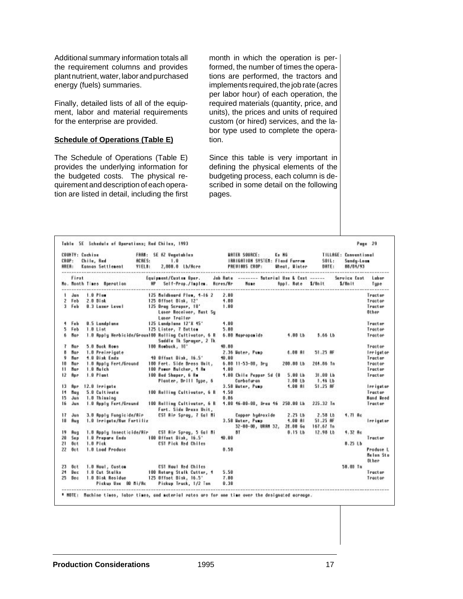Additional summary information totals all the requirement columns and provides plant nutrient, water, labor and purchased energy (fuels) summaries.

Finally, detailed lists of all of the equipment, labor and material requirements for the enterprise are provided.

#### **Schedule of Operations (Table E)**

The Schedule of Operations (Table E) provides the underlying information for the budgeted costs. The physical requirement and description of each operation are listed in detail, including the first month in which the operation is performed, the number of times the operations are performed, the tractors and implements required, the job rate (acres per labor hour) of each operation, the required materials (quantity, price, and units), the prices and units of required custom (or hired) services, and the labor type used to complete the operation.

Since this table is very important in defining the physical elements of the budgeting process, each column is described in some detail on the following pages.

| CROP:<br><b>AREA:</b> | COUNTY: Cochine | Chile, Red<br>Kansas Settlement | ACRES:<br><b>TIELD:</b> | FARM: SE #2 Vegetables<br>1.0<br>2,000.0 Lb/Rore                                |       | <b>URTER SOURCE:</b><br>IBBIGBIION SYSTEM: Flood Furrow<br>PREVIOUS CROP:                                                                                                                                                           | $K_2$ HG | Wheat, Winter           |                    | $S01L$ :<br>DATE: | <b>TILLRGE: Conventional</b><br>Sandy-Loon<br>08/01/93 |                        |
|-----------------------|-----------------|---------------------------------|-------------------------|---------------------------------------------------------------------------------|-------|-------------------------------------------------------------------------------------------------------------------------------------------------------------------------------------------------------------------------------------|----------|-------------------------|--------------------|-------------------|--------------------------------------------------------|------------------------|
|                       | First           |                                 |                         | Equipment/Custom Oper.                                                          |       | Job Rate -------- Baterial Use & Cost ------<br>None                                                                                                                                                                                |          |                         | Rpp1. Rote \$/Dmit |                   | Service Cost<br>\$/Unit                                | Labor<br>Tupe<br>.     |
| 1.                    | Jon             | $1.0$ Plus                      |                         | 125 Noldboard Flow, 1-16 2                                                      | 2.80  |                                                                                                                                                                                                                                     |          |                         |                    |                   |                                                        | Tractor                |
|                       | 2 Feb           | 2.0 Disk                        |                         | 125 Offset Disk, 12'                                                            | 4.00  |                                                                                                                                                                                                                                     |          |                         |                    |                   |                                                        | Tractor                |
|                       | 3 Feb           | 0.3 Leser Level                 |                         | 125 Drug Scraper, 10'<br>Loser Receiver, Nast Sy<br>Loner Trailer               | 1.00  |                                                                                                                                                                                                                                     |          |                         |                    |                   |                                                        | Tractor<br>Other       |
|                       | 4 Feb           | <b>O.S Landplane</b>            |                         | 125 Landplane 12'X 15"                                                          | 4.00  |                                                                                                                                                                                                                                     |          |                         |                    |                   |                                                        | Tractor                |
| 5.                    | Feb             | $1.0$ List                      |                         | 125 Lister, 7 Dottom                                                            | 5.00  |                                                                                                                                                                                                                                     |          |                         |                    |                   |                                                        | Tractor                |
| 6.                    | <b>Bar</b>      |                                 |                         | 1.0 Roply Herbicide/Groun100 Rolling Cultivator, 6 R<br>Soddie Tk Sprager, 2 Tk |       | 6.00 Hapropamide                                                                                                                                                                                                                    |          | <b>4.00 Lb</b>          | 5.66 Lb            |                   |                                                        | Tractor                |
| 7                     | <b>Bar</b>      | 5.0 Buck Rose                   |                         | 100 Roobuck, 10'                                                                | 40.00 |                                                                                                                                                                                                                                     |          |                         |                    |                   |                                                        | Tractor                |
| n                     | Bar             | 1.0 Preierigate                 |                         |                                                                                 |       | 2.36 Water, Pump                                                                                                                                                                                                                    |          | $4.00$ $B1$             | 51.25 新            |                   |                                                        | Irrigator              |
| 9                     | Bor             | 4.0 Diak Enda                   |                         | 40 Offset Disk, 16.5°                                                           | 10.00 |                                                                                                                                                                                                                                     |          |                         |                    |                   |                                                        | Tractor                |
| 10                    | <b>Bar</b>      | 1.0 Roply Fert/Ground           |                         | 100 Fert. Side Dress Unit,                                                      |       | 6.00 11-53-00, Dru                                                                                                                                                                                                                  |          | 200.00 Lb               | 261.86 Tn          |                   |                                                        | Tractor                |
| 11                    | <b>Bor</b>      | $1.0$ Mulch                     |                         | 100 Power Nulcher, 1 Re                                                         | 4.00  |                                                                                                                                                                                                                                     |          |                         |                    |                   |                                                        | Tractor                |
| 12                    | <b>Bar</b>      | $1.0$ Plant                     |                         | 100 Bed Shaper, 6 Rm<br>Planter, Drill Type, 6                                  |       | 4.00 Chile Pepper Sd (0)<br>Carbefuran                                                                                                                                                                                              |          | 5.00L<br><b>7.00 Lb</b> | 31.00Lb<br>1.46 Lb |                   |                                                        | Tractor                |
| 13                    | <b>Bon</b>      | 12.0 Irrigate                   |                         |                                                                                 |       | 3.58 Water, Pump                                                                                                                                                                                                                    |          | $1.00$ $01$             | 51.25 新            |                   |                                                        | <b>Innigoton</b>       |
| 14                    | <b>Bou</b>      | 5.0 Cultivate                   |                         | 100 Rolling Cultivator, 6 R                                                     | 4.50  |                                                                                                                                                                                                                                     |          |                         |                    |                   |                                                        | Tractor                |
| 15                    | Jun             | 1.0 Thinaing                    |                         |                                                                                 | 0.06  |                                                                                                                                                                                                                                     |          |                         |                    |                   |                                                        | Hand leed              |
| 16                    | Jun             | 1.0 Reply Fert/Ground           |                         | 100 Bolling Cultivator, 6 B<br>Fort. Side Drams Unit.                           |       | 1.00 16-00-00, less 16 250.00 Lb                                                                                                                                                                                                    |          |                         | 225.32 In          |                   |                                                        | Tractor                |
| 17                    | Jun             | 3.0 Reply Fungicide/Rir         |                         | CST Mir Spray, 7 Gol Ni                                                         |       | Copper hudroxide                                                                                                                                                                                                                    |          | 2.25 <sub>th</sub>      | 2.58 Lb            |                   | $4.71 - 0.0$                                           |                        |
| 18                    | Bug             | 1.0 Innigote/Run Fentiliz       |                         |                                                                                 |       | 3.58 Water, Pump                                                                                                                                                                                                                    |          | $1.00$ $B1$             | 51.25 新            |                   |                                                        | Irrigator              |
|                       |                 |                                 |                         |                                                                                 |       | 32-00-00, URAH 32, 21.00 Go                                                                                                                                                                                                         |          |                         | 167.67 Tm          |                   |                                                        |                        |
| 19                    | Bug             | 1.0 Roply Insecticide/Rir       |                         | CST Mir Spray, 5 Gal Ni                                                         |       | <b>BT</b> and the state of the state of the state of the state of the state of the state of the state of the state of the state of the state of the state of the state of the state of the state of the state of the state of the s |          | 0.15 <sub>th</sub>      | 12.98 Lb           |                   | 4.32 Bo                                                |                        |
| 20                    | Sep             |                                 |                         | 1.0 Propora Ends 100 Offset Disk, 16.5'                                         | 10.00 |                                                                                                                                                                                                                                     |          |                         |                    |                   |                                                        | Tructor                |
| 21                    | Go t            | 1.0 Pick                        |                         | CST Pick Red Chiles                                                             |       |                                                                                                                                                                                                                                     |          |                         |                    |                   | 0.25 <sub>10</sub>                                     |                        |
| 22                    | Go t            | 1.0 Load Produce                |                         |                                                                                 | 0.50  |                                                                                                                                                                                                                                     |          |                         |                    |                   |                                                        | Produce L<br>Melon Sto |
| 23                    | Bot.            | 1.0 Houl, Cuotom                |                         | <b>CST Houl Red Chiles</b>                                                      |       |                                                                                                                                                                                                                                     |          |                         |                    |                   | 50.00 Tn                                               | <b>Other</b>           |
| 24                    | Dec.            | 1.0 Cut Stalks                  |                         | 100 Rotary Stalk Cutter, 4                                                      | 5.50  |                                                                                                                                                                                                                                     |          |                         |                    |                   |                                                        | Tructor                |
| 25                    | <b>Beo</b>      | 1.0 Dick Residue                |                         | 125 Offset Disk, 16.5"                                                          | 7.00  |                                                                                                                                                                                                                                     |          |                         |                    |                   |                                                        | Tractor                |
|                       |                 | Pickwa Use 80 Ni/Rc             |                         | Pickup Truck, 1/2 Tom                                                           | 0.38  |                                                                                                                                                                                                                                     |          |                         |                    |                   |                                                        |                        |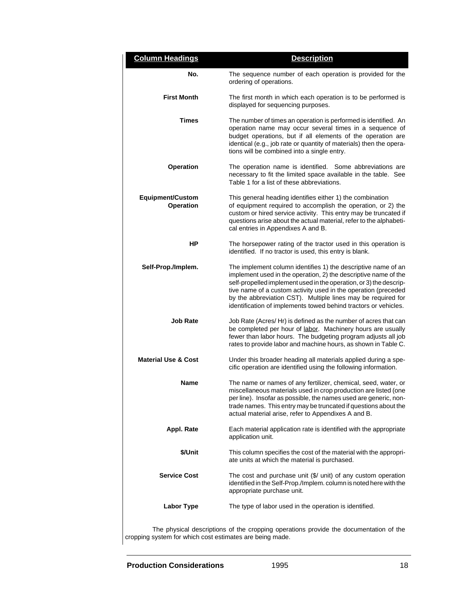| <b>Column Headings</b>                                   | <b>Description</b>                                                                                                                                                                                                                                                                                                                                                                                          |
|----------------------------------------------------------|-------------------------------------------------------------------------------------------------------------------------------------------------------------------------------------------------------------------------------------------------------------------------------------------------------------------------------------------------------------------------------------------------------------|
| No.                                                      | The sequence number of each operation is provided for the<br>ordering of operations.                                                                                                                                                                                                                                                                                                                        |
| <b>First Month</b>                                       | The first month in which each operation is to be performed is<br>displayed for sequencing purposes.                                                                                                                                                                                                                                                                                                         |
| Times                                                    | The number of times an operation is performed is identified. An<br>operation name may occur several times in a sequence of<br>budget operations, but if all elements of the operation are<br>identical (e.g., job rate or quantity of materials) then the opera-<br>tions will be combined into a single entry.                                                                                             |
| <b>Operation</b>                                         | The operation name is identified. Some abbreviations are<br>necessary to fit the limited space available in the table. See<br>Table 1 for a list of these abbreviations.                                                                                                                                                                                                                                    |
| <b>Equipment/Custom</b><br>Operation                     | This general heading identifies either 1) the combination<br>of equipment required to accomplish the operation, or 2) the<br>custom or hired service activity. This entry may be truncated if<br>questions arise about the actual material, refer to the alphabeti-<br>cal entries in Appendixes A and B.                                                                                                   |
| ΗP                                                       | The horsepower rating of the tractor used in this operation is<br>identified. If no tractor is used, this entry is blank.                                                                                                                                                                                                                                                                                   |
| Self-Prop./Implem.                                       | The implement column identifies 1) the descriptive name of an<br>implement used in the operation, 2) the descriptive name of the<br>self-propelled implement used in the operation, or 3) the descrip-<br>tive name of a custom activity used in the operation (preceded<br>by the abbreviation CST). Multiple lines may be required for<br>identification of implements towed behind tractors or vehicles. |
| <b>Job Rate</b>                                          | Job Rate (Acres/Hr) is defined as the number of acres that can<br>be completed per hour of labor. Machinery hours are usually<br>fewer than labor hours. The budgeting program adjusts all job<br>rates to provide labor and machine hours, as shown in Table C.                                                                                                                                            |
| <b>Material Use &amp; Cost</b>                           | Under this broader heading all materials applied during a spe-<br>cific operation are identified using the following information.                                                                                                                                                                                                                                                                           |
| Name                                                     | The name or names of any fertilizer, chemical, seed, water, or<br>miscellaneous materials used in crop production are listed (one<br>per line). Insofar as possible, the names used are generic, non-<br>trade names. This entry may be truncated if questions about the<br>actual material arise, refer to Appendixes A and B.                                                                             |
| Appl. Rate                                               | Each material application rate is identified with the appropriate<br>application unit.                                                                                                                                                                                                                                                                                                                      |
| \$/Unit                                                  | This column specifies the cost of the material with the appropri-<br>ate units at which the material is purchased.                                                                                                                                                                                                                                                                                          |
| <b>Service Cost</b>                                      | The cost and purchase unit $(\frac{6}{3})$ unit) of any custom operation<br>identified in the Self-Prop./Implem.column is noted here with the<br>appropriate purchase unit.                                                                                                                                                                                                                                 |
| <b>Labor Type</b>                                        | The type of labor used in the operation is identified.                                                                                                                                                                                                                                                                                                                                                      |
| cropping system for which cost estimates are being made. | The physical descriptions of the cropping operations provide the documentation of the                                                                                                                                                                                                                                                                                                                       |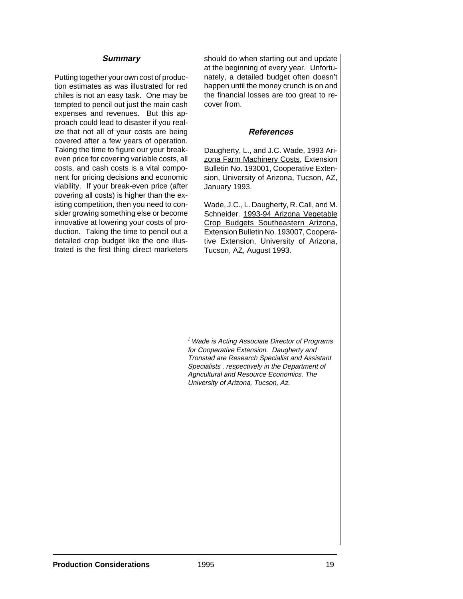#### **Summary**

Putting together your own cost of production estimates as was illustrated for red chiles is not an easy task. One may be tempted to pencil out just the main cash expenses and revenues. But this approach could lead to disaster if you realize that not all of your costs are being covered after a few years of operation. Taking the time to figure our your breakeven price for covering variable costs, all costs, and cash costs is a vital component for pricing decisions and economic viability. If your break-even price (after covering all costs) is higher than the existing competition, then you need to consider growing something else or become innovative at lowering your costs of production. Taking the time to pencil out a detailed crop budget like the one illustrated is the first thing direct marketers should do when starting out and update at the beginning of every year. Unfortunately, a detailed budget often doesn't happen until the money crunch is on and the financial losses are too great to recover from.

#### **References**

Daugherty, L., and J.C. Wade, 1993 Arizona Farm Machinery Costs, Extension Bulletin No. 193001, Cooperative Extension, University of Arizona, Tucson, AZ, January 1993.

Wade, J.C., L. Daugherty, R. Call, and M. Schneider. 1993-94 Arizona Vegetable Crop Budgets Southeastern Arizona, Extension Bulletin No. 193007, Cooperative Extension, University of Arizona, Tucson, AZ, August 1993.

<sup>1</sup> Wade is Acting Associate Director of Programs for Cooperative Extension. Daugherty and Tronstad are Research Specialist and Assistant Specialists , respectively in the Department of Agricultural and Resource Economics, The University of Arizona, Tucson, Az.